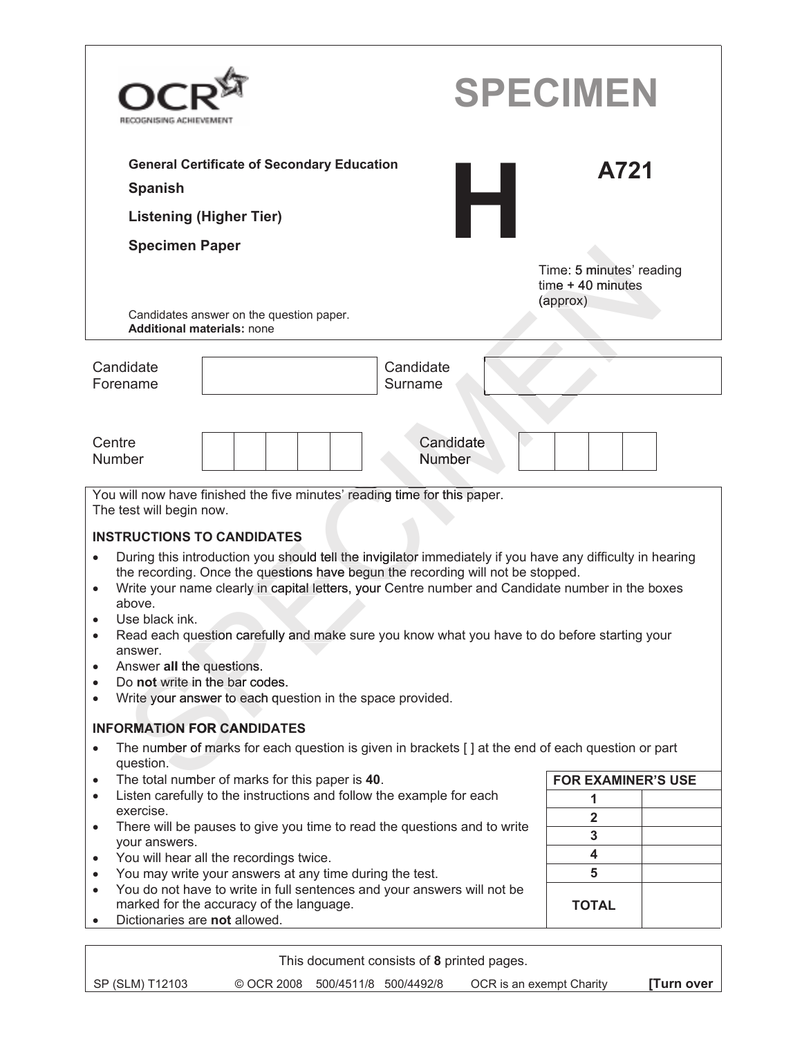| RECOGNISING ACHIEVEMENT                                                                                                                                                                                                                                                                                                                                                                                                                                                                                                                                                                                                                                            | <b>SPECIMEN</b>                                             |
|--------------------------------------------------------------------------------------------------------------------------------------------------------------------------------------------------------------------------------------------------------------------------------------------------------------------------------------------------------------------------------------------------------------------------------------------------------------------------------------------------------------------------------------------------------------------------------------------------------------------------------------------------------------------|-------------------------------------------------------------|
| <b>General Certificate of Secondary Education</b>                                                                                                                                                                                                                                                                                                                                                                                                                                                                                                                                                                                                                  | A721                                                        |
| <b>Spanish</b>                                                                                                                                                                                                                                                                                                                                                                                                                                                                                                                                                                                                                                                     |                                                             |
| <b>Listening (Higher Tier)</b>                                                                                                                                                                                                                                                                                                                                                                                                                                                                                                                                                                                                                                     |                                                             |
| <b>Specimen Paper</b>                                                                                                                                                                                                                                                                                                                                                                                                                                                                                                                                                                                                                                              |                                                             |
| Candidates answer on the question paper.<br><b>Additional materials: none</b>                                                                                                                                                                                                                                                                                                                                                                                                                                                                                                                                                                                      | Time: 5 minutes' reading<br>$time + 40$ minutes<br>(approx) |
| Candidate<br>Candidate                                                                                                                                                                                                                                                                                                                                                                                                                                                                                                                                                                                                                                             |                                                             |
| Surname<br>Forename                                                                                                                                                                                                                                                                                                                                                                                                                                                                                                                                                                                                                                                |                                                             |
| Centre<br>Candidate<br><b>Number</b><br><b>Number</b><br>You will now have finished the five minutes' reading time for this paper.<br>The test will begin now.                                                                                                                                                                                                                                                                                                                                                                                                                                                                                                     |                                                             |
| <b>INSTRUCTIONS TO CANDIDATES</b><br>During this introduction you should tell the invigilator immediately if you have any difficulty in hearing<br>$\bullet$<br>the recording. Once the questions have begun the recording will not be stopped.<br>Write your name clearly in capital letters, your Centre number and Candidate number in the boxes<br>$\bullet$<br>above.<br>Use black ink.<br>Read each question carefully and make sure you know what you have to do before starting your<br>answer.<br>Answer all the questions.<br>$\bullet$<br>Do not write in the bar codes.<br>٠<br>Write your answer to each question in the space provided.<br>$\bullet$ |                                                             |
| <b>INFORMATION FOR CANDIDATES</b>                                                                                                                                                                                                                                                                                                                                                                                                                                                                                                                                                                                                                                  |                                                             |
| The number of marks for each question is given in brackets [] at the end of each question or part<br>$\bullet$<br>question.                                                                                                                                                                                                                                                                                                                                                                                                                                                                                                                                        |                                                             |
| The total number of marks for this paper is 40.<br>$\bullet$                                                                                                                                                                                                                                                                                                                                                                                                                                                                                                                                                                                                       | <b>FOR EXAMINER'S USE</b>                                   |
| Listen carefully to the instructions and follow the example for each<br>$\bullet$<br>exercise.                                                                                                                                                                                                                                                                                                                                                                                                                                                                                                                                                                     | 1                                                           |
| There will be pauses to give you time to read the questions and to write<br>$\bullet$                                                                                                                                                                                                                                                                                                                                                                                                                                                                                                                                                                              | $\overline{\mathbf{2}}$                                     |
| your answers.                                                                                                                                                                                                                                                                                                                                                                                                                                                                                                                                                                                                                                                      | 3<br>4                                                      |
| You will hear all the recordings twice.<br>$\bullet$<br>You may write your answers at any time during the test.<br>$\bullet$                                                                                                                                                                                                                                                                                                                                                                                                                                                                                                                                       | 5                                                           |
| You do not have to write in full sentences and your answers will not be<br>$\bullet$                                                                                                                                                                                                                                                                                                                                                                                                                                                                                                                                                                               |                                                             |
| marked for the accuracy of the language.<br>Dictionaries are not allowed.                                                                                                                                                                                                                                                                                                                                                                                                                                                                                                                                                                                          | <b>TOTAL</b>                                                |
| This document consists of 8 printed pages.                                                                                                                                                                                                                                                                                                                                                                                                                                                                                                                                                                                                                         |                                                             |

٦

Г

SP (SLM) T12103 © OCR 2008 500/4511/8 500/4492/8 OCR is an exempt Charity **[Turn over**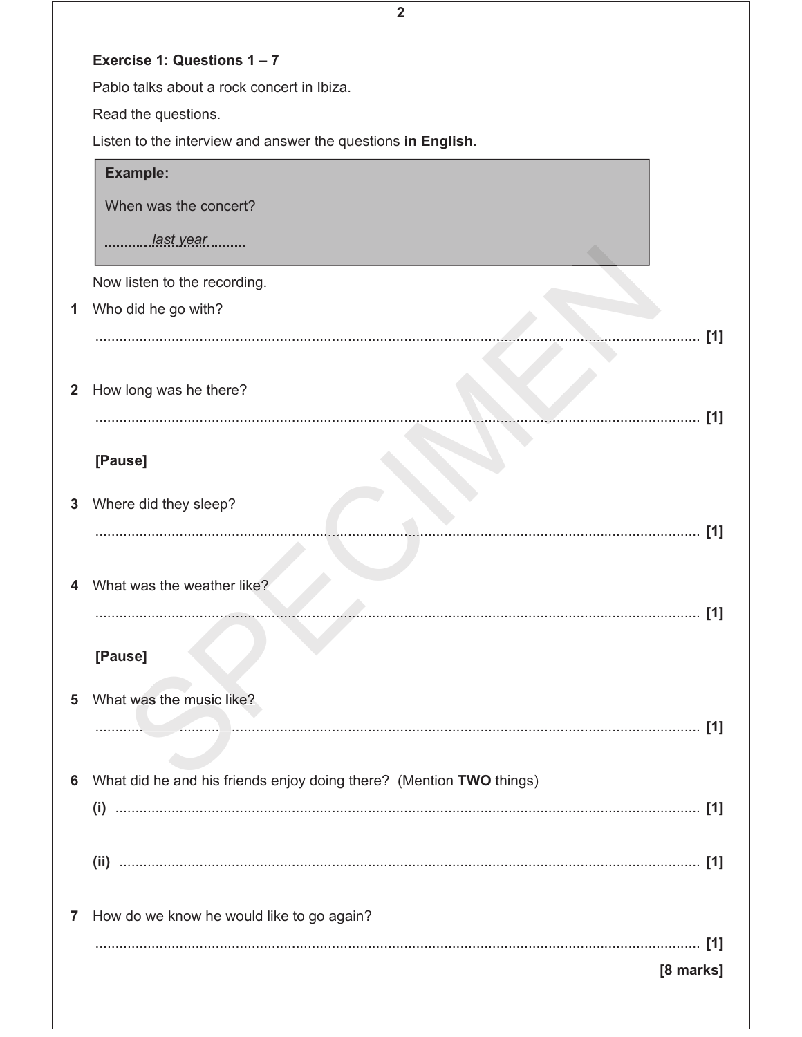|              | $\overline{2}$                                                      |
|--------------|---------------------------------------------------------------------|
|              | Exercise 1: Questions 1-7                                           |
|              | Pablo talks about a rock concert in Ibiza.                          |
|              | Read the questions.                                                 |
|              | Listen to the interview and answer the questions in English.        |
|              | <b>Example:</b>                                                     |
|              | When was the concert?                                               |
|              | last year                                                           |
|              | Now listen to the recording.                                        |
| 1            | Who did he go with?                                                 |
|              | [1]                                                                 |
|              |                                                                     |
| $\mathbf{2}$ | How long was he there?                                              |
|              | [1]                                                                 |
|              | [Pause]                                                             |
|              |                                                                     |
| 3            | Where did they sleep?                                               |
|              | [1]                                                                 |
|              | What was the weather like?                                          |
|              |                                                                     |
|              |                                                                     |
|              | [Pause]                                                             |
| 5            | What was the music like?                                            |
|              | [1]                                                                 |
|              |                                                                     |
| 6            | What did he and his friends enjoy doing there? (Mention TWO things) |
|              |                                                                     |
|              |                                                                     |
|              |                                                                     |
| 7            | How do we know he would like to go again?                           |
|              |                                                                     |
|              | [8 marks]                                                           |
|              |                                                                     |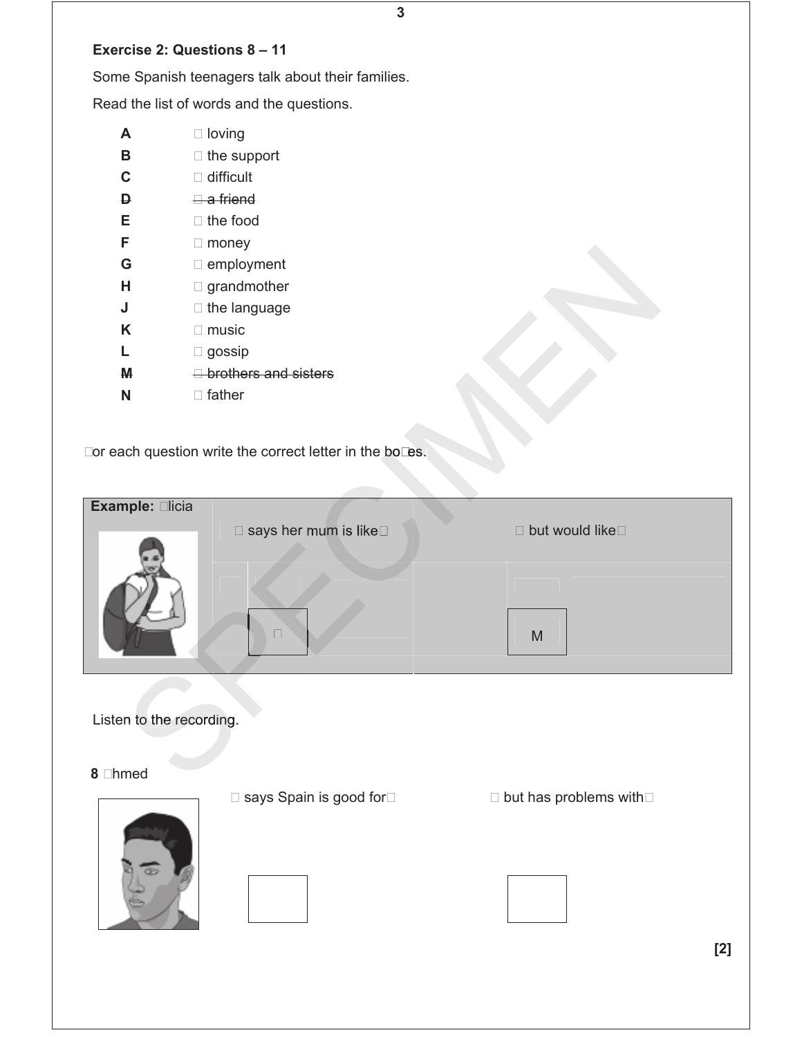## **Exercise 2: Questions 8 – 11**

Some Spanish teenagers talk about their families.

Read the list of words and the questions.

- **A** … loving **B** … the support
- **C** … difficult
- **D** … a friend
- **E** … the food
- **F** … money
- **G** … employment
- **H** … grandmother
- **J** … the language
- **K** … music
- **L** … gossip
- **M** … brothers and sisters
- **N** … father

| G                        | employment                                               |                |
|--------------------------|----------------------------------------------------------|----------------|
| Н                        | grandmother                                              |                |
| J                        | the language                                             |                |
| K                        | $$ music                                                 |                |
| L                        | gossip                                                   |                |
| M                        | brothers and sisters                                     |                |
| N                        | father                                                   |                |
|                          |                                                          |                |
|                          | For each question write the correct letter in the boxes. |                |
|                          |                                                          |                |
|                          |                                                          |                |
| Example: Alicia          |                                                          |                |
|                          | says her mum is like                                     | but would like |
|                          |                                                          |                |
|                          |                                                          |                |
|                          |                                                          |                |
|                          | Ш                                                        | M              |
|                          |                                                          |                |
|                          |                                                          |                |
|                          |                                                          |                |
| Listen to the recording. |                                                          |                |
|                          |                                                          |                |
|                          |                                                          |                |
| 8 Ahmed                  |                                                          |                |

**3** 

… says Spain is good for… … but has problems with…

**[2]**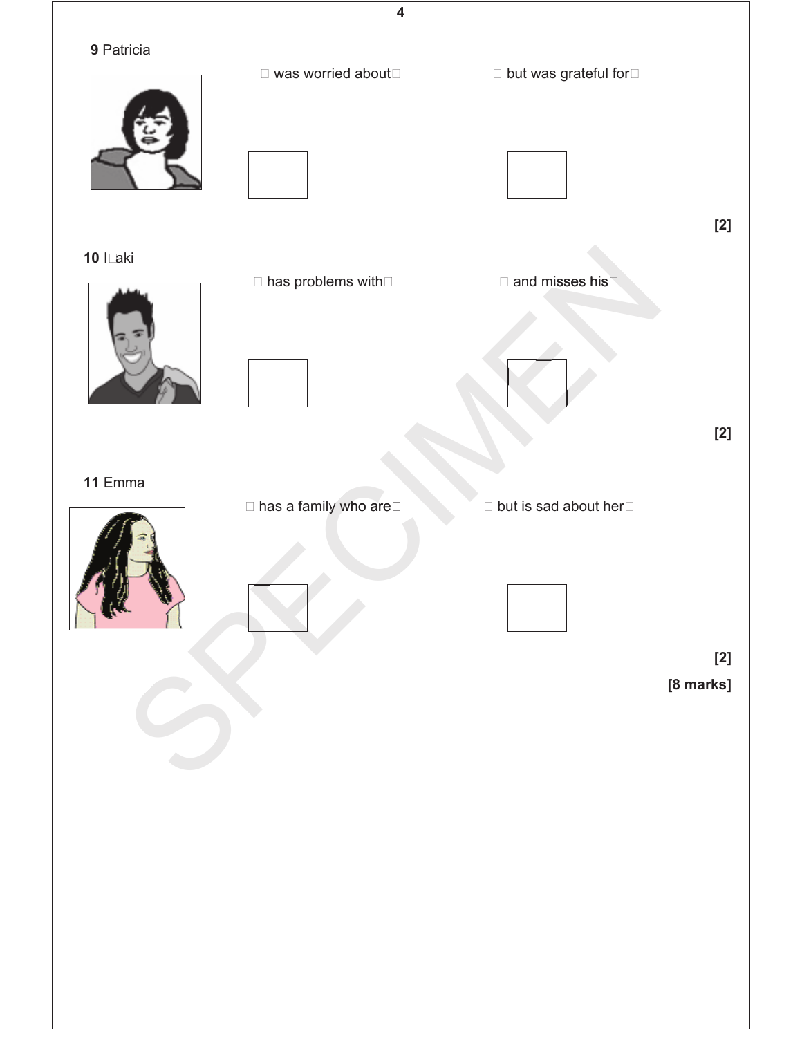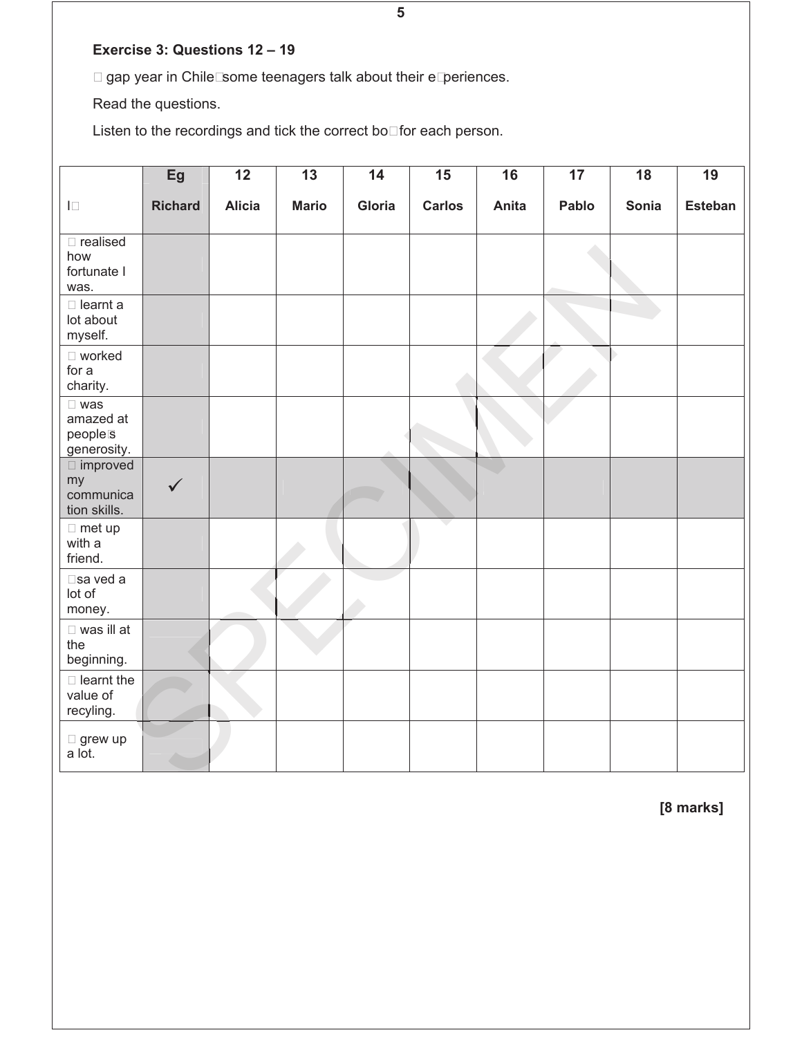## **Exercise 3: Questions 12 – 19**

A gap year in Chile: some teenagers talk about their experiences.

Read the questions.

Listen to the recordings and tick the correct box for each person.

|                                                     | Eg             | $\overline{12}$ | $\overline{13}$ | $\overline{14}$ | $\overline{15}$ | $\overline{16}$ | $\overline{17}$ | $\overline{18}$ | $\overline{19}$ |
|-----------------------------------------------------|----------------|-----------------|-----------------|-----------------|-----------------|-----------------|-----------------|-----------------|-----------------|
| $\mathsf{L}_\mathsf{L}$                             | <b>Richard</b> | <b>Alicia</b>   | <b>Mario</b>    | Gloria          | <b>Carlos</b>   | Anita           | Pablo           | Sonia           | <b>Esteban</b>  |
| realised<br>how<br>fortunate I<br>was.              |                |                 |                 |                 |                 |                 |                 |                 |                 |
| learnt a<br>lot about<br>myself.                    |                |                 |                 |                 |                 |                 |                 |                 |                 |
| worked<br>for a<br>charity.                         |                |                 |                 |                 |                 |                 |                 |                 |                 |
| was<br>amazed at<br>people's<br>generosity.         |                |                 |                 |                 |                 |                 |                 |                 |                 |
| $\dots$ improved<br>my<br>communica<br>tion skills. | $\checkmark$   |                 |                 |                 |                 |                 |                 |                 |                 |
| met up<br>with a<br>friend.                         |                |                 |                 |                 |                 |                 |                 |                 |                 |
| sa ved a<br>lot of<br>money.                        |                |                 |                 |                 |                 |                 |                 |                 |                 |
| was ill at<br>the<br>beginning.                     |                |                 |                 |                 |                 |                 |                 |                 |                 |
| learnt the<br>value of<br>recyling.                 |                |                 |                 |                 |                 |                 |                 |                 |                 |
| grew up<br>a lot.                                   |                |                 |                 |                 |                 |                 |                 |                 |                 |

**[8 marks]**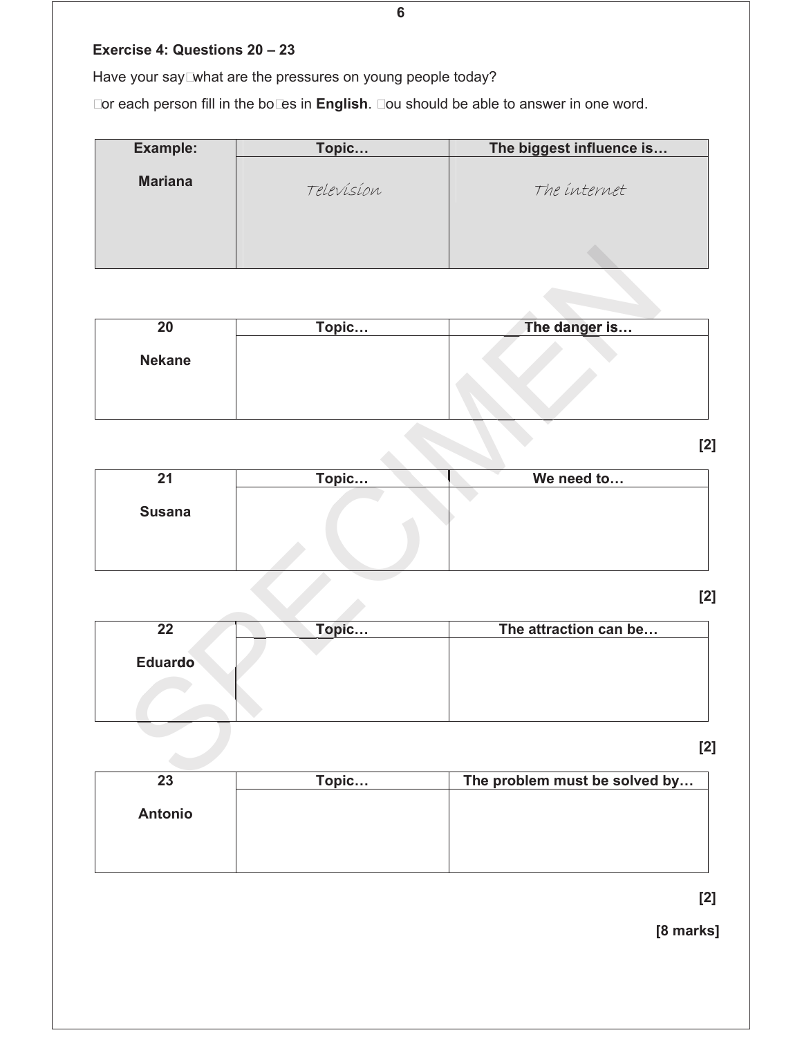## **Exercise 4: Questions 20 – 23**

Have your say: what are the pressures on young people today?

For each person fill in the boxes in **English**. You should be able to answer in one word.

| <b>Example:</b> | Topic      | The biggest influence is |
|-----------------|------------|--------------------------|
| <b>Mariana</b>  | Television | The internet             |
|                 |            |                          |

| 20            | Topic | The danger is |
|---------------|-------|---------------|
| <b>Nekane</b> |       |               |
|               |       |               |
|               |       |               |

**[2]**

| $\overline{20}$ | Topic  | The danger is                  |
|-----------------|--------|--------------------------------|
| <b>Nekane</b>   |        |                                |
|                 |        | [2                             |
| 21              | Topic  | We need to                     |
|                 |        |                                |
| <b>Susana</b>   |        |                                |
|                 |        | [2                             |
| $\overline{22}$ | Topic  | The attraction can be          |
| <b>Eduardo</b>  |        |                                |
|                 |        | [2                             |
| 23              | Topic. | The problem must be solved by. |

**[2]**

| 22             | Topic | The attraction can be |
|----------------|-------|-----------------------|
| <b>Eduardo</b> |       |                       |

**[2]**

| 23             | Topic | The problem must be solved by |
|----------------|-------|-------------------------------|
|                |       |                               |
| <b>Antonio</b> |       |                               |
|                |       |                               |
|                |       |                               |
|                |       |                               |

**[2]**

**[8 marks]** 

**6**